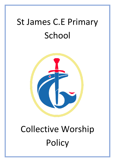# St James C.E Primary School



# Collective Worship Policy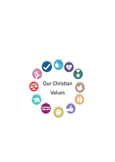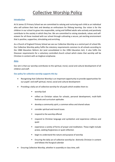## Collective Worship Policy

#### **Introduction**

At St James CE Primary School we are committed to valuing and nurturing each child as an individual who will achieve their best and develop an enthusiasm for lifelong learning. Our vision is for the children in our school to grow into responsible, caring and fulfilled adults who actively and positively contribute to the society in which they live. We are committed to raising standards, values and selfesteem for all those involved with our school through cultivating a secure, yet exciting environment that is positive, supportive, stimulating and enriching.

As a Church of England Primary School we see our Collective Worship as a central part of school life. Our Collective Worship policy fulfils the statutory requirements common to all schools according to the 1988 Education Reform Act (and consolidated in the 1996 Education Act). It also fulfils the Diocesan requirements for a voluntary controlled church school which states that worship will be Christian in content with an Anglican emphasise.

#### **Aims**

Our aim is that our worship contributes to the spiritual, moral, social and cultural development of all children and staff.

#### **Our policy for collective worship supports this by:**

- Recognising that Collective Worship is an important opportunity to provide opportunities for our pupils' and staff spiritual, moral, social and cultural development
- Providing a daily act of collective worship for all pupils which enables them to:
	- worship God
	- reflect on Christian values for schools, personal development, multi-faith festivals and curriculum aptitudes
	- develop a community spirit, a common ethos and shared values
	- consider spiritual and moral issues
	- respond to the worship offered
	- **EXP** respond to Christian language and symbolism and experience stillness and quiet
	- experience a variety of forms of prayer and meditation. These might include praise, seeking forgiveness or quiet reflection
	- **•** begin to understand the nature and purpose of worship
	- Ensuring the daily act of collective worship be distinctly Christian in content and follows the liturgical calendar
- Ensuring Collective Worship, whether in assembly or class time, will: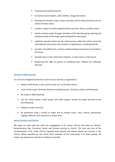- Inspiring and transformational
- be lead by senior leaders, staff, children, clergy and visitors.
- Develop the Christian vision, values and ethos of the school and focus on our school Christian values
- include a range of creative opportunities e.g music, silence, symbol, drama
- heavily involves pupils through members of the Worship group opening and closing worship and through pupils writing their own prayer
- celebrate and give thanks for the achievements within the school, local and international community and occasions of significance, including festivals
- provide a foundation for a mature understanding and practice of worship in the future
- will take place in the school hall, outdoors, in class rooms or the church
- **Respecting the right of parents to withdraw their children for Collective** Worship

#### **Content of Daily worship**

As a Church of England school the content of our worship is organised to:

- Follow a half termly, 2 year cycle to cover our 12 Christian Values
- Cover all the major Christians festivals including Harvest, Christmas, Easter and Pentecost.
- Be rooted in Bible teaching
- Use the school prayer, Lord's prayer and other prayers written by pupils and led by the worship group
- Follow an order of service
- Be presented using a variety of styles and to include music, story, drama, enthusiastic singing, reflection and reverence in prayer time.

#### **Special Services and Visitors**

We value our links with the staff and congregation of St. James' Church. We hold our Harvest, Remembrance Day, Christmas, Easter and Harvest services in church. The vicar and one of the churchwardens of St. James Church regularly lead worship and always attend our services in the church. Where possible we also invite other members of the community in to lead worship. All visitors are welcome to attend our Collective worship.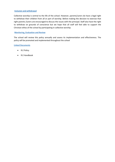#### **Inclusion and withdrawal**

Collective worship is central to the life of the school. However, parents/carers do have a legal right to withdraw their children from all or part of worship. Before making the decision to exercise that right parents /carers are encouraged to discuss the issues with the principal. Staff also have the right to withdraw on grounds of conscience but we hope that all staff will feel able to support the Christian ethos of the school by participating in collective worship.

#### **Monitoring, Evaluation and Review**

The school will review this policy annually and assess its implementation and effectiveness. The policy will be promoted and implemented throughout the school

#### **Linked Documents**

- R.E Policy
- R.E Handbook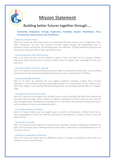

## Mission Statement

### Building better futures together through…..

#### **Generosity, Compassion, Courage, Forgiveness, Friendship, Respect, Thankfulness, Trust, Perseverance, Justice, Service and Truthfulness**

#### ...based on Christian Values

Here at St James we encourage children to understand Christian values such as forgiveness, trust, faith, compassion and love. We promote Christian values through the celebrations such as Christmas, Easter and Harvest, and through prayer and reflection. Through reflection and prayer we also work to take each child on their own faith journey.

#### ...by nurturing each child's faith journey

Here at St James we want all our children to grow in their own faith. For our younger children, linking the major festivals gives a structure within which to deepen their knowledge of their own faith story.

#### ...through enabling "Life Long" Learning

Here at St James we promote lifelong learning through the progression of key skills, such as reading and writing but also through developing life experiences such as going to the Post Office.

#### ...by promoting high standards

Here at St James we promote the very highest academic standards, moving from concrete operations, to the abstract ensuring mental agility based on sound practice. All our children learn their times tables in our Assertive Mentoring Programme and old fashioned life skills for a modern child.

#### ...through nurturing enquiring minds

Here at St James we encourage all our children to get a love of learning that takes them beyond the classroom into the wider world. Children are able to investigate and find answers to the questions they have generated. Developing an inquiring mind is a key skill in the promotion of deep learning as well as leading you down new unexplored paths.....

#### ...by valuing ourselves and others

Here at St James children are encouraged to go on a path of self-discovery. Children learn how to take responsibility for their own learning and personal development, as well as how to treat and respect others.

#### ...by striving to succeed

Here at St James we work together to overcome any obstacles, however challenging, to achieve our goals. We try and try again, building resilience which helps us deal with any disappointments on our journey to success.

#### ...through the celebration of diversity

Here at St James we believe that our differences make us stronger. Learning from each other, our traditions and our shared history.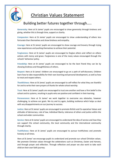

## Christian Values Statement

### Building better futures together through…..

**Generosity:** Here at St James' pupils are encouraged to show generosity through kindness and giving, whether this is through time, support or charity.

**Compassion:** Here at St James' pupils are encouraged to show understanding of others less fortunate than themselves and show kindness and empathy.

**Courage:** Here at St James' pupils are encouraged to show courage and bravery through trying new experiences and pushing themselves to achieve their potential.

**Forgiveness:** Here at St James' pupils are encouraged to forgive others and reflect on others actions with mercy and grace. Forgiveness is one of the many values encouraged through the schools' behaviour policy.

**Friendship:** Here at St James' pupils are encouraged to be the best friend they can be by showing kindness and thoughtfulness of others.

**Respect:** Here at St James' children are encouraged to go on a path of self-discovery. Children learn how to take responsibility for their own learning and personal development, as well as how to treat and respect others.

**Thankfulness:** Here at St James' pupils are encouraged to self-reflect for what they are thankful for and to write their own prayers of thanks for whole school worship.

**Trust:** Here at St James' pupils are encouraged to trust one another and have a firm belief in the school and its systems, resulting in pupils who are positive and confident in their learning.

**Perseverance:** Here at St James' we work together to overcome any obstacles, however challenging, to achieve our goals. We try and try again, building resilience which helps us deal with any disappointments on our journey to success.

**Justice:** Here at St James' pupils are encouraged to promote British and Co-operative Values and attitudes of democracy, rule of law, individual liberty, tolerance of others and justice within the school and wider communities.

**Service:** Here at St James' pupils are encouraged to understand the idea of service and how they can support the school community, the local community and the international community through charity.

**Truthfulness:** Here at St James' pupils are encouraged to pursue truthfulness and promote honesty at all times.

Here at St James' we encourage pupils to understand and promote our school Christian values. We promote Christian values through the celebrations such as Christmas, Easter and Harvest, and through prayer and reflection. Through reflection and prayer we also work to take each child on their own faith journey.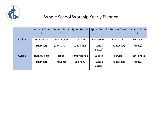

## Whole School Worship Yearly Planner

|         | <b>Autumn Term</b>  | <b>Autumn Term</b> | <b>Spring Term 1</b> | <b>Spring Term 2</b> | <b>Summer Term</b> | <b>Summer Term</b>  |
|---------|---------------------|--------------------|----------------------|----------------------|--------------------|---------------------|
|         | $\mathbf 1$         | $\overline{2}$     |                      |                      | 1                  |                     |
| Cycle A | Generosity          | Compassion         | Courage              | Forgiveness          | Friendship         | Respect             |
|         | (Harvest)           | (Christmas)        | (Candlemas)          | (Lent &              | (Pentecost)        | (Trinity)           |
|         |                     |                    |                      | Easter)              |                    |                     |
| Cycle B | <b>Thankfulness</b> | Trust              | Perseverance         | Justice              | Service            | <b>Truthfulness</b> |
|         | (Harvest)           | (Advent)           | (Epiphany)           | (Lent &              | (Pentecost)        | (Trinity)           |
|         |                     |                    |                      | Easter)              |                    |                     |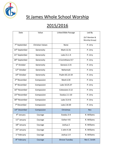

## St James Whole School Worship

# 2015/2016

| Date                       | Value                   | Linked Bible Passage  | Led By                          |
|----------------------------|-------------------------|-----------------------|---------------------------------|
|                            |                         |                       | (SLT Member &<br>Worship Group) |
|                            |                         |                       |                                 |
| 7 <sup>th</sup> September  | <b>Christian Values</b> | None                  | P. Urry                         |
| 14 <sup>th</sup> September | Generosity              | Mark 12.31            | P. Urry                         |
| 21 <sup>st</sup> September | Generosity              | Luke 21.1-4           | P. Urry                         |
| 28 <sup>th</sup> September | Generosity              | 2 Corinthians 9.7     | P. Urry                         |
| 5 <sup>th</sup> October    | Generosity              | Genesis 2.15          | P. Urry                         |
| 12 <sup>th</sup> October   | Generosity              | Nehemiah              | P. Urry                         |
| 19 <sup>th</sup> October   | Generosity              | Psalm 65.13-19        | P. Urry                         |
| $2nd$ November             | Compassion              | Mark 6.34             | P. Urry                         |
| 9 <sup>th</sup> November   | Compassion              | Luke 10.25.37         | P. Urry                         |
| 16 <sup>th</sup> November  | Compassion              | Colossians 3.12       | P. Urry                         |
| 23rd November              | Compassion              | Exodus 2.1-10         | P. Urry                         |
| 30 <sup>th</sup> November  | Compassion              | Luke 15.4-6           | P. Urry                         |
| 7 <sup>th</sup> December   | Compassion              | Luke 2.8-20           | P. Urry                         |
| 14 <sup>th</sup> December  | Compassion              | Christmas             | Rev                             |
| 4 <sup>th</sup> January    | Courage                 | Exodus 3-4            | R. Williams                     |
| 11 <sup>th</sup> January   | Courage                 | Esther 4-8            | R. Williams                     |
| 18 <sup>th</sup> January   | Courage                 | Joshua 2              | R. Williams                     |
| 25 <sup>th</sup> January   | Courage                 | 1 John 4.18           | R. Williams                     |
| 1 <sup>st</sup> February   | Courage                 | Joshua 1.9            | R. Williams                     |
| 8 <sup>th</sup> February   | Courage                 | <b>Shrove Tuesday</b> | Rev C. Smith                    |